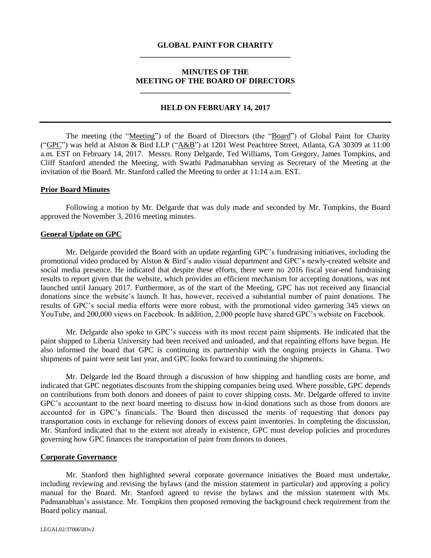# **GLOBAL PAINT FOR CHARITY \_\_\_\_\_\_\_\_\_\_\_\_\_\_\_\_\_\_\_\_\_\_\_\_\_\_\_\_\_\_\_\_\_\_\_\_\_\_\_**

## **MINUTES OF THE MEETING OF THE BOARD OF DIRECTORS \_\_\_\_\_\_\_\_\_\_\_\_\_\_\_\_\_\_\_\_\_\_\_\_\_\_\_\_\_\_\_\_\_\_\_\_\_\_\_**

#### **HELD ON FEBRUARY 14, 2017**

The meeting (the "Meeting") of the Board of Directors (the "Board") of Global Paint for Charity ("GPC") was held at Alston & Bird LLP ("A&B") at 1201 West Peachtree Street, Atlanta, GA 30309 at 11:00 a.m. EST on February 14, 2017. Messrs. Rony Delgarde, Ted Williams, Tom Gregory, James Tompkins, and Cliff Stanford attended the Meeting, with Swathi Padmanabhan serving as Secretary of the Meeting at the invitation of the Board. Mr. Stanford called the Meeting to order at 11:14 a.m. EST.

#### **Prior Board Minutes**

Following a motion by Mr. Delgarde that was duly made and seconded by Mr. Tompkins, the Board approved the November 3, 2016 meeting minutes.

#### **General Update on GPC**

Mr. Delgarde provided the Board with an update regarding GPC's fundraising initiatives, including the promotional video produced by Alston & Bird's audio visual department and GPC's newly-created website and social media presence. He indicated that despite these efforts, there were no 2016 fiscal year-end fundraising results to report given that the website, which provides an efficient mechanism for accepting donations, was not launched until January 2017. Furthermore, as of the start of the Meeting, GPC has not received any financial donations since the website's launch. It has, however, received a substantial number of paint donations. The results of GPC's social media efforts were more robust, with the promotional video garnering 345 views on YouTube, and 200,000 views on Facebook. In addition, 2,000 people have shared GPC's website on Facebook.

Mr. Delgarde also spoke to GPC's success with its most recent paint shipments. He indicated that the paint shipped to Liberia University had been received and unloaded, and that repainting efforts have begun. He also informed the board that GPC is continuing its partnership with the ongoing projects in Ghana. Two shipments of paint were sent last year, and GPC looks forward to continuing the shipments.

Mr. Delgarde led the Board through a discussion of how shipping and handling costs are borne, and indicated that GPC negotiates discounts from the shipping companies being used. Where possible, GPC depends on contributions from both donors and donees of paint to cover shipping costs. Mr. Delgarde offered to invite GPC's accountant to the next board meeting to discuss how in-kind donations such as those from donors are accounted for in GPC's financials. The Board then discussed the merits of requesting that donors pay transportation costs in exchange for relieving donors of excess paint inventories. In completing the discussion, Mr. Stanford indicated that to the extent not already in existence, GPC must develop policies and procedures governing how GPC finances the transportation of paint from donors to donees.

### **Corporate Governance**

Mr. Stanford then highlighted several corporate governance initiatives the Board must undertake, including reviewing and revising the bylaws (and the mission statement in particular) and approving a policy manual for the Board. Mr. Stanford agreed to revise the bylaws and the mission statement with Ms. Padmanabhan's assistance. Mr. Tompkins then proposed removing the background check requirement from the Board policy manual.